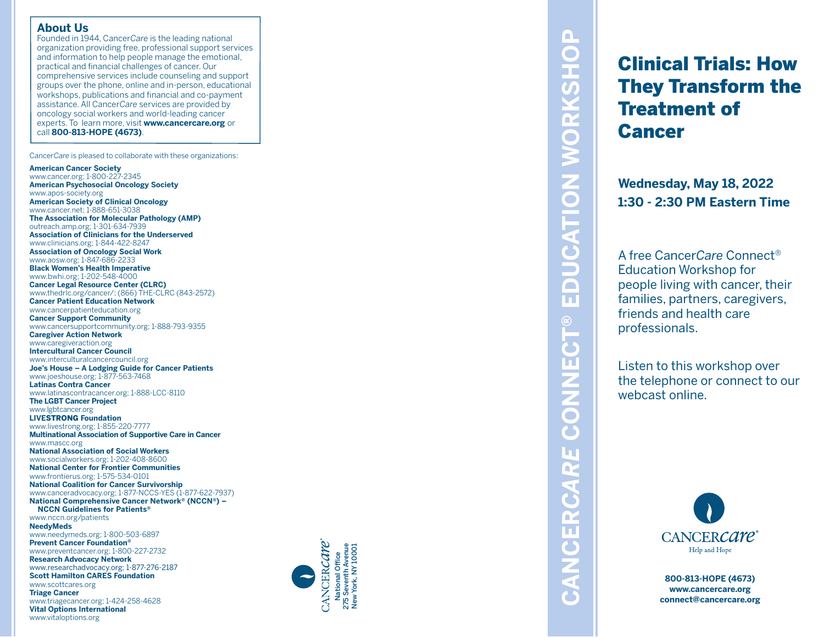#### **About Us**

Founded in 1944, Cancer*Care* is the leading national organization providing free, professional support services and information to help people manage the emotional, practical and financial challenges of cancer. Our comprehensive services include counseling and support groups over the phone, online and in-person, educational workshops, publications and financial and co-payment assistance. All Cancer*Care* services are provided by oncology social workers and world-leading cancer experts. To learn more, visit **www.cancercare.org** or call **800-813-HOPE (4673)** .

Cancer*Care* is pleased to collaborate with these organizations:

**American Cancer Society**

www.cancer.org; 1-800-227-2345 **American Psychosocial Oncology Society** www.apos-society.org **American Society of Clinical Oncology** www.cancer.net; 1-888-651-3038 **The Association for Molecular Pathology (AMP)** outreach.amp.org; 1-301-634-7939 **Association of Clinicians for the Underserved** www.clinicians.org; 1-844-422-8247 **Association of Oncology Social Work** www.aosw.org; 1-847-686-2233 **Black Women's Health Imperative** www.bwhi.org; 1-202-548-4000 **Cancer Legal Resource Center (CLRC)** www.thedrlc.org/cancer/; (866) THE-CLRC (843-2572) **Cancer Patient Education Network** www.cancerpatienteducation.org **Cancer Support Community** www.cancersupportcommunity.org; 1-888-793-9355 **Caregiver Action Network** www.caregiveraction.org **Intercultural Cancer Council** www.interculturalcancercouncil.org **Joe's House – A Lodging Guide for Cancer Patients** www.joeshouse.org; 1-877-563-7468 **Latinas Contra Cancer** www.latinascontracancer.org; 1-888-LCC-8110 **The LGBT Cancer Project** www.lgbtcancer.org **LIVE**STRONG **Foundation** www.livestrong.org; 1-855-220-7777 **Multinational Association of Supportive Care in Cancer** www.mascc.org **National Association of Social Workers** www.socialworkers.org; 1-202-408-8600 **National Center for Frontier Communities** www.frontierus.org; 1-575-534-0101 **National Coalition for Cancer Survivorship** www.canceradvocacy.org; 1-877-NCCS-YES (1-877-622-7937) **National Comprehensive Cancer Network ® (NCCN ®) – NCCN Guidelines for Patients ®** www.nccn.org/patients **NeedyMeds**

www.needymeds.org; 1-800-503-6897 **Prevent Cancer Foundation ®** www.preventcancer.org; 1-800-227-2732 **Research Advocacy Network**

www.researchadvocacy.org; 1-877-276-2187 **Scott Hamilton CARES Foundation**

www.scottcares.org **Triage Cancer** www.triagecancer.org; 1-424-258-4628





# $\mathbf{\Omega}$ **CANCER***CARE* **CONNECT® EDUCATION WORKSHOP**  $\mathbf C$ CATION WORKSH  $\Box$  $\blacksquare$ m **CONNECT®** CANCERCARE

# Clinical Trials: How They Transform the Treatment of Cancer

**Wednesday, May 18, 2022 1:30 - 2:30 PM Eastern Time**

A free Cancer*Care* Connect ® Education Workshop for people living with cancer, their families, partners, caregivers, friends and health care professionals.

Listen to this workshop over the telephone or connect to our webcast online.



**800-813-HOPE (4673) www.cancercare.org connect@cancercare.org**